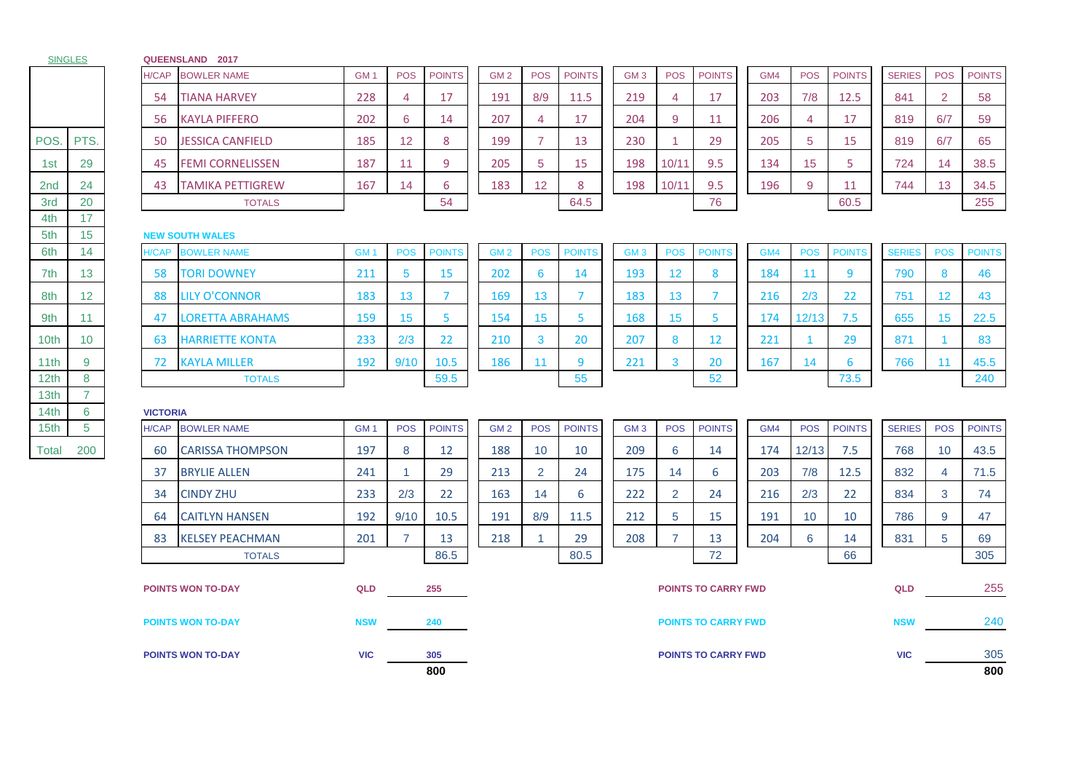| <b>SINGLES</b>   |                     |                 | QUEENSLAND 2017          |                 |                |                |                 |                 |                |                            |                 |                      |                            |     |                 |               |               |                 |               |
|------------------|---------------------|-----------------|--------------------------|-----------------|----------------|----------------|-----------------|-----------------|----------------|----------------------------|-----------------|----------------------|----------------------------|-----|-----------------|---------------|---------------|-----------------|---------------|
|                  |                     | H/CAP           | <b>BOWLER NAME</b>       | GM <sub>1</sub> | <b>POS</b>     | <b>POINTS</b>  | GM <sub>2</sub> | <b>POS</b>      | <b>POINTS</b>  |                            | GM <sub>3</sub> | <b>POS</b>           | <b>POINTS</b>              | GM4 | <b>POS</b>      | <b>POINTS</b> | <b>SERIES</b> | <b>POS</b>      | <b>POINTS</b> |
|                  |                     | 54              | <b>TIANA HARVEY</b>      | 228             | 4              | 17             | 191             | 8/9             | 11.5           |                            | 219             | 4                    | 17                         | 203 | 7/8             | 12.5          | 841           | $\overline{2}$  | 58            |
|                  |                     | 56              | <b>KAYLA PIFFERO</b>     | 202             | 6              | 14             | 207             | $\overline{4}$  | 17             |                            | 204             | 9                    | 11                         | 206 | $\overline{4}$  | 17            | 819           | 6/7             | 59            |
| POS.             | PTS.                | 50              | <b>JESSICA CANFIELD</b>  | 185             | 12             | 8              | 199             | $\overline{7}$  | 13             |                            | 230             | $\blacktriangleleft$ | 29                         | 205 | 5               | 15            | 819           | 6/7             | 65            |
| 1st              | 29                  | 45              | <b>FEMI CORNELISSEN</b>  | 187             | 11             | 9              | 205             | 5               | 15             |                            | 198             | 10/11                | 9.5                        | 134 | 15 <sub>1</sub> | 5             | 724           | 14              | 38.5          |
| 2 <sub>nd</sub>  | 24                  | 43              | <b>TAMIKA PETTIGREW</b>  | 167             | 14             | 6              | 183             | 12              | 8              |                            | 198             | 10/11                | 9.5                        | 196 | 9               | 11            | 744           | 13              | 34.5          |
| 3rd              | 20                  |                 | <b>TOTALS</b>            |                 |                | 54             |                 |                 | 64.5           |                            |                 |                      | 76                         |     |                 | 60.5          |               |                 | 255           |
| 4th<br>5th       | 17<br>15            |                 | <b>NEW SOUTH WALES</b>   |                 |                |                |                 |                 |                |                            |                 |                      |                            |     |                 |               |               |                 |               |
| 6th              | 14                  | H/CAP           | <b>BOWLER NAME</b>       | GM <sub>1</sub> | <b>POS</b>     | <b>POINTS</b>  | GM <sub>2</sub> | <b>POS</b>      | <b>POINTS</b>  |                            | GM <sub>3</sub> | <b>POS</b>           | <b>POINTS</b>              | GM4 | <b>POS</b>      | <b>POINTS</b> | <b>SERIES</b> | <b>POS</b>      | <b>POINTS</b> |
| 7th              | 13                  | 58              | <b>TORI DOWNEY</b>       | 211             | 5              | 15             | 202             | 6               | 14             |                            | 193             | $12 \overline{ }$    | 8                          | 184 | 11              | 9             | 790           | 8               | 46            |
| 8th              | $12 \overline{ }$   | 88              | <b>LILY O'CONNOR</b>     | 183             | 13             | $\overline{7}$ | 169             | 13 <sup>°</sup> | $\overline{7}$ |                            | 183             | 13                   | $\overline{7}$             | 216 | 2/3             | 22            | 751           | 12 <sup>2</sup> | 43            |
| 9th              | 11                  | 47              | LORETTA ABRAHAMS         | 159             | 15             | 5              | 154             | 15              | 5.             |                            | 168             | 15                   | 5                          | 174 | 12/13           | 7.5           | 655           | 15              | 22.5          |
| 10th             | 10                  | 63              | <b>HARRIETTE KONTA</b>   | 233             | 2/3            | 22             | 210             | 3               | 20             |                            | 207             | 8                    | 12                         | 221 | -1              | 29            | 871           | $\mathbf{1}$    | 83            |
| 11th             | 9                   | 72              | <b>KAYLA MILLER</b>      | 192             | 9/10           | 10.5           | 186             | 11              | 9              |                            | 221             | 3                    | 20                         | 167 | 14              | 6             | 766           | 11              | 45.5          |
| 12 <sub>th</sub> | 8                   |                 | <b>TOTALS</b>            |                 |                | 59.5           |                 |                 | 55             |                            |                 |                      | 52                         |     |                 | 73.5          |               |                 | 240           |
| 13th<br>14th     | $\overline{7}$<br>6 | <b>VICTORIA</b> |                          |                 |                |                |                 |                 |                |                            |                 |                      |                            |     |                 |               |               |                 |               |
| 15th             | $5\phantom{.0}$     | <b>H/CAP</b>    | <b>BOWLER NAME</b>       | GM <sub>1</sub> | <b>POS</b>     | <b>POINTS</b>  | GM <sub>2</sub> | <b>POS</b>      | <b>POINTS</b>  |                            | GM <sub>3</sub> | <b>POS</b>           | <b>POINTS</b>              | GM4 | <b>POS</b>      | <b>POINTS</b> | <b>SERIES</b> | <b>POS</b>      | <b>POINTS</b> |
| Total            | 200                 | 60              | <b>CARISSA THOMPSON</b>  | 197             | 8              | 12             | 188             | 10              | 10             |                            | 209             | 6                    | 14                         | 174 | 12/13           | 7.5           | 768           | 10 <sup>°</sup> | 43.5          |
|                  |                     | 37              | <b>BRYLIE ALLEN</b>      | 241             | $\overline{1}$ | 29             | 213             | $\overline{2}$  | 24             |                            | 175             | 14                   | 6                          | 203 | 7/8             | 12.5          | 832           | 4               | 71.5          |
|                  |                     | 34              | <b>CINDY ZHU</b>         | 233             | 2/3            | 22             | 163             | 14              | 6              |                            | 222             | 2                    | 24                         | 216 | 2/3             | 22            | 834           | 3               | 74            |
|                  |                     | 64              | <b>CAITLYN HANSEN</b>    | 192             | 9/10           | 10.5           | 191             | 8/9             | 11.5           |                            | 212             | 5                    | 15                         | 191 | 10              | 10            | 786           | 9               | 47            |
|                  |                     | 83              | <b>KELSEY PEACHMAN</b>   | 201             | $\overline{7}$ | 13             | 218             | 1               | 29             |                            | 208             | $\overline{7}$       | 13                         | 204 | 6               | 14            | 831           | 5               | 69            |
|                  |                     |                 | <b>TOTALS</b>            |                 |                | 86.5           |                 |                 | 80.5           |                            |                 |                      | 72                         |     |                 | 66            |               |                 | 305           |
|                  |                     |                 | <b>POINTS WON TO-DAY</b> | QLD             |                | 255            |                 |                 |                |                            |                 |                      | <b>POINTS TO CARRY FWD</b> |     |                 |               | QLD           |                 | 255           |
|                  |                     |                 | <b>POINTS WON TO-DAY</b> | <b>NSW</b>      |                | 240            |                 |                 |                |                            |                 |                      | <b>POINTS TO CARRY FWD</b> |     |                 |               | <b>NSW</b>    |                 | 240           |
|                  |                     |                 | <b>POINTS WON TO-DAY</b> | <b>VIC</b>      |                | 305            |                 |                 |                |                            |                 |                      |                            |     |                 |               | <b>VIC</b>    |                 | 305           |
|                  |                     |                 |                          |                 |                | 800            |                 |                 |                | <b>POINTS TO CARRY FWD</b> |                 |                      |                            |     |                 |               |               | 800             |               |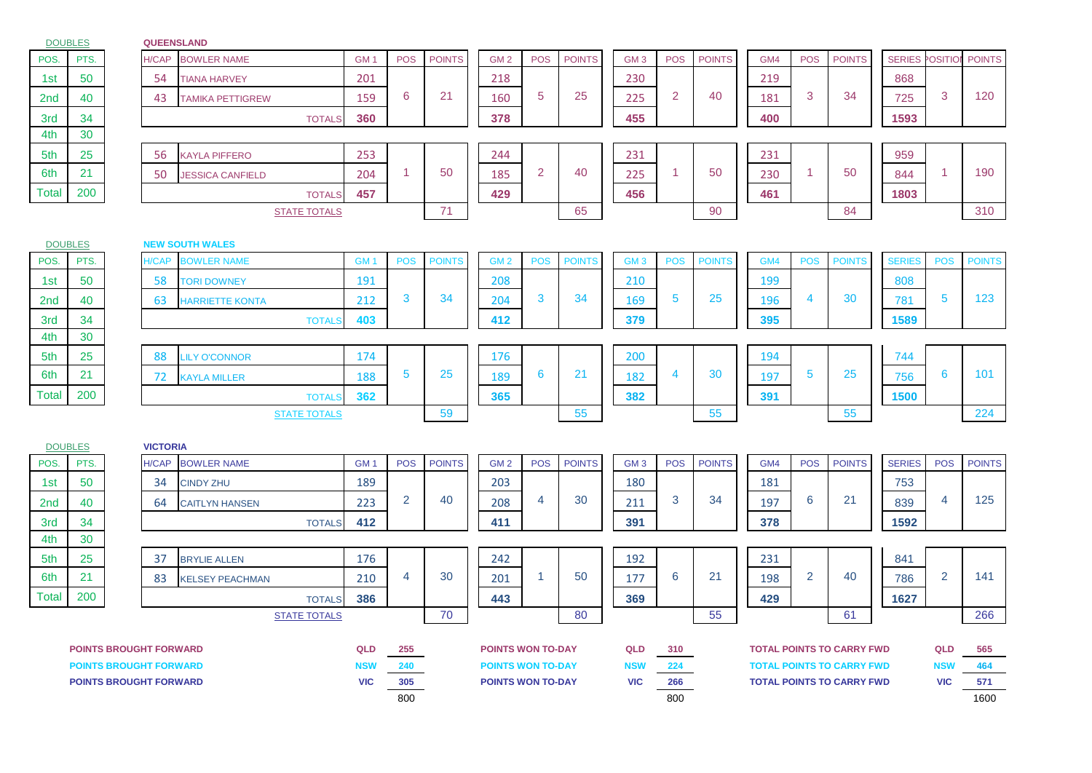DOUBLES

## **QUEENSLAND**

|                               | <b>DUUBLES</b>                |  | <b>WUEENSLANL</b> |                         |                          |                |               |                                                      |                      |               |                          |                |               |     |                |                                                                      |               |                          |               |
|-------------------------------|-------------------------------|--|-------------------|-------------------------|--------------------------|----------------|---------------|------------------------------------------------------|----------------------|---------------|--------------------------|----------------|---------------|-----|----------------|----------------------------------------------------------------------|---------------|--------------------------|---------------|
| POS.                          | PTS.                          |  | H/CAP             | <b>BOWLER NAME</b>      | GM <sub>1</sub>          | <b>POS</b>     | <b>POINTS</b> | GM <sub>2</sub>                                      | <b>POS</b>           | <b>POINTS</b> | GM <sub>3</sub>          | <b>POS</b>     | <b>POINTS</b> | GM4 | <b>POS</b>     | <b>POINTS</b>                                                        | <b>SERIES</b> | <b>OSITIO</b>            | <b>POINTS</b> |
| 1st                           | 50                            |  | 54                | <b>TIANA HARVEY</b>     | 201                      |                |               | 218                                                  |                      |               | 230                      |                |               | 219 |                |                                                                      | 868           |                          |               |
| 2nd                           | 40                            |  | 43                | <b>TAMIKA PETTIGREW</b> | 159                      | 6              | 21            | 160                                                  | 5                    | 25            | 225                      | 2              | 40            | 181 | 3              | 34                                                                   | 725           | 3                        | 120           |
| 3rd                           | 34                            |  |                   | <b>TOTALS</b>           | 360                      |                |               | 378                                                  |                      |               | 455                      |                |               | 400 |                |                                                                      | 1593          |                          |               |
| 4th                           | 30                            |  |                   |                         |                          |                |               |                                                      |                      |               |                          |                |               |     |                |                                                                      |               |                          |               |
| 5th                           | 25                            |  | 56                | KAYLA PIFFERO           | 253                      |                |               | 244                                                  |                      |               | 231                      |                |               | 231 |                |                                                                      | 959           |                          |               |
| 6th                           | 21                            |  | 50                | <b>JESSICA CANFIELD</b> | 204                      | $\mathbf{1}$   | 50            | 185                                                  | $\overline{2}$       | 40            | 225                      | $\mathbf{1}$   | 50            | 230 | 1              | 50                                                                   | 844           | -1                       | 190           |
| Total                         | 200                           |  |                   | <b>TOTALS</b>           | 457                      |                |               | 429                                                  |                      |               | 456                      |                |               | 461 |                |                                                                      | 1803          |                          |               |
|                               |                               |  |                   | <b>STATE TOTALS</b>     |                          |                | 71            |                                                      |                      | 65            |                          |                | 90            |     |                | 84                                                                   |               |                          | 310           |
|                               | <b>DOUBLES</b>                |  |                   | <b>NEW SOUTH WALES</b>  |                          |                |               |                                                      |                      |               |                          |                |               |     |                |                                                                      |               |                          |               |
| POS.                          | PTS.                          |  | <b>H/CAP</b>      | <b>BOWLER NAME</b>      | GM <sub>1</sub>          | <b>POS</b>     | <b>POINTS</b> | GM <sub>2</sub>                                      | <b>POS</b>           | <b>POINTS</b> | GM <sub>3</sub>          | <b>POS</b>     | <b>POINTS</b> | GM4 | <b>POS</b>     | <b>POINTS</b>                                                        | <b>SERIES</b> | POS                      | <b>POINTS</b> |
| 1st                           | 50                            |  | 58                | <b>TORI DOWNEY</b>      | 191                      |                |               | 208                                                  |                      |               | 210                      |                |               | 199 |                |                                                                      | 808           |                          |               |
| 2nd                           | 40                            |  | 63                | <b>HARRIETTE KONTA</b>  | 212                      | 3              | 34            | 204                                                  | 3                    | 34            | 169                      | $\overline{5}$ | 25            | 196 | 4              | 30                                                                   | 781           | 5                        | 123           |
| 3rd                           | 34                            |  |                   | <b>TOTAL</b>            | 403                      |                |               | 412                                                  |                      |               | 379                      |                |               | 395 |                |                                                                      | 1589          |                          |               |
| 4th                           | 30                            |  |                   |                         |                          |                |               |                                                      |                      |               |                          |                |               |     |                |                                                                      |               |                          |               |
| 5th                           | 25                            |  | 88                | <b>LILY O'CONNOR</b>    | 174                      |                |               | 176                                                  |                      |               | 200                      |                |               | 194 |                |                                                                      | 744           |                          |               |
| 6th                           | 21                            |  | 72                | <b>KAYLA MILLER</b>     | 188                      | $\overline{5}$ | 25            | 189                                                  | 6                    | 21            | 182                      | $\overline{4}$ | 30            | 197 | 5              | 25                                                                   | 756           | 6                        | 101           |
| Total                         | 200                           |  |                   | <b>TOTAL</b>            | 362                      |                |               | 365                                                  |                      |               | 382                      |                |               | 391 |                |                                                                      | 1500          |                          |               |
|                               |                               |  |                   | <b>STATE TOTALS</b>     |                          |                | 59            |                                                      |                      | 55            |                          |                | 55            |     |                | 55                                                                   |               |                          | 224           |
|                               | <b>DOUBLES</b>                |  | <b>VICTORIA</b>   |                         |                          |                |               |                                                      |                      |               |                          |                |               |     |                |                                                                      |               |                          |               |
| POS.                          | PTS.                          |  | H/CAP             | <b>BOWLER NAME</b>      | GM <sub>1</sub>          | <b>POS</b>     | <b>POINTS</b> | GM <sub>2</sub>                                      | <b>POS</b>           | <b>POINTS</b> | GM <sub>3</sub>          | <b>POS</b>     | <b>POINTS</b> | GM4 | <b>POS</b>     | <b>POINTS</b>                                                        | <b>SERIES</b> | <b>POS</b>               | <b>POINTS</b> |
| 1st                           | 50                            |  | 34                | <b>CINDY ZHU</b>        | 189                      |                |               | 203                                                  |                      |               | 180                      |                |               | 181 |                |                                                                      | 753           |                          |               |
| 2nd                           | 40                            |  | 64                | <b>CAITLYN HANSEN</b>   | 223                      | $\overline{2}$ | 40            | 208                                                  | $\overline{4}$       | 30            | 211                      | 3              | 34            | 197 | 6              | 21                                                                   | 839           | $\overline{4}$           | 125           |
| 3rd                           | 34                            |  |                   | <b>TOTALS</b>           | 412                      |                |               | 411                                                  |                      |               | 391                      |                |               | 378 |                |                                                                      | 1592          |                          |               |
| 4th                           | 30                            |  |                   |                         |                          |                |               |                                                      |                      |               |                          |                |               |     |                |                                                                      |               |                          |               |
| 5th                           | 25                            |  | 37                | <b>BRYLIE ALLEN</b>     | 176                      |                |               | 242                                                  |                      |               | 192                      |                |               | 231 |                |                                                                      | 841           |                          |               |
| 6th                           | 21                            |  | 83                | <b>KELSEY PEACHMAN</b>  | 210                      | 4              | 30            | 201                                                  | $\blacktriangleleft$ | 50            | 177                      | 6              | 21            | 198 | $\overline{2}$ | 40                                                                   | 786           | $\overline{2}$           | 141           |
| Total                         | 200                           |  |                   | <b>TOTALS</b>           | 386                      |                |               | 443                                                  |                      |               | 369                      |                |               | 429 |                |                                                                      | 1627          |                          |               |
|                               |                               |  |                   | <b>STATE TOTALS</b>     |                          |                | 70            |                                                      |                      | 80            |                          |                | 55            |     |                | 61                                                                   |               |                          | 266           |
|                               |                               |  |                   |                         |                          |                |               |                                                      |                      |               |                          |                |               |     |                |                                                                      |               |                          |               |
|                               | <b>POINTS BROUGHT FORWARD</b> |  |                   |                         |                          | 255            |               | <b>POINTS WON TO-DAY</b>                             |                      |               | QLD                      | 310            |               |     |                | <b>TOTAL POINTS TO CARRY FWD</b>                                     |               | QLD                      | 565           |
| <b>POINTS BROUGHT FORWARD</b> |                               |  |                   |                         | <b>NSW</b><br><b>VIC</b> | 240<br>305     |               | <b>POINTS WON TO-DAY</b><br><b>POINTS WON TO-DAY</b> |                      |               | <b>NSW</b><br><b>VIC</b> | 224<br>266     |               |     |                | <b>TOTAL POINTS TO CARRY FWD</b><br><b>TOTAL POINTS TO CARRY FWD</b> |               | <b>NSW</b><br><b>VIC</b> | 464<br>571    |
| <b>POINTS BROUGHT FORWARD</b> |                               |  |                   |                         |                          | 800            |               |                                                      |                      |               |                          | 800            |               |     |                |                                                                      |               |                          | 1600          |
|                               |                               |  |                   |                         |                          |                |               |                                                      |                      |               |                          |                |               |     |                |                                                                      |               |                          |               |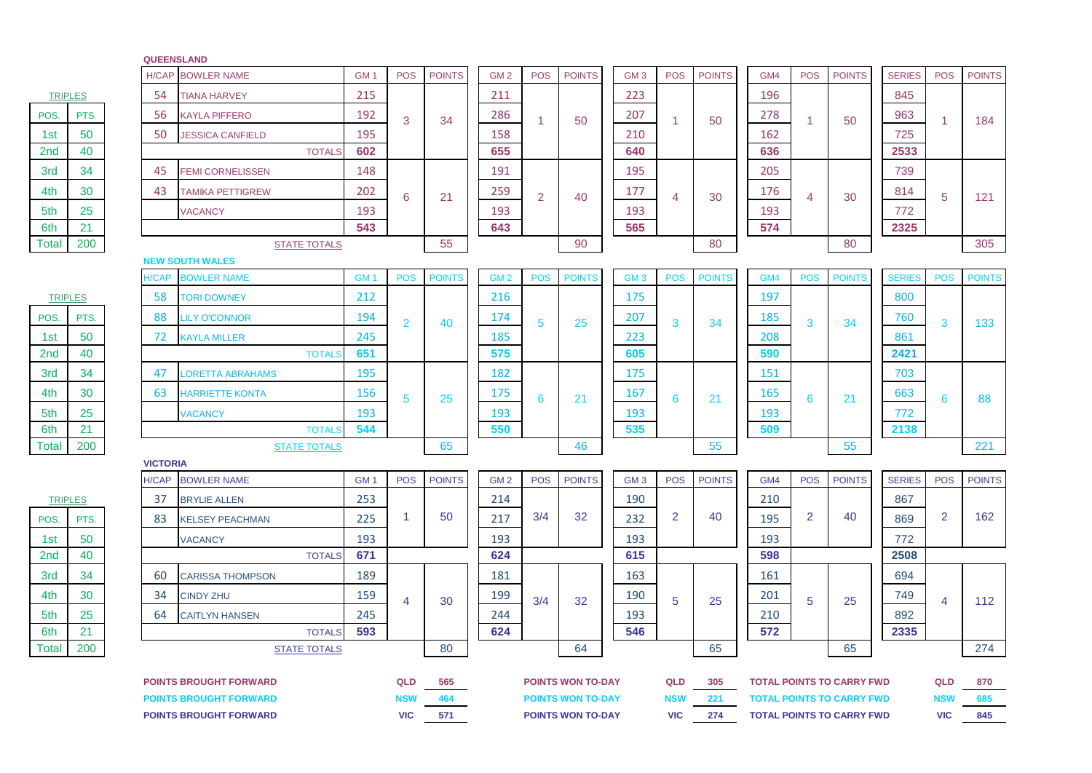|                               |                |  | <b>QUEENSLAND</b> |                         |                 |                |               |                 |                          |                          |                 |                |               |            |                                  |                                  |               |                |               |
|-------------------------------|----------------|--|-------------------|-------------------------|-----------------|----------------|---------------|-----------------|--------------------------|--------------------------|-----------------|----------------|---------------|------------|----------------------------------|----------------------------------|---------------|----------------|---------------|
|                               |                |  | <b>H/CAP</b>      | <b>BOWLER NAME</b>      | GM <sub>1</sub> | <b>POS</b>     | <b>POINTS</b> | GM <sub>2</sub> | <b>POS</b>               | <b>POINTS</b>            | GM <sub>3</sub> | <b>POS</b>     | <b>POINTS</b> | GM4        | <b>POS</b>                       | <b>POINTS</b>                    | <b>SERIES</b> | <b>POS</b>     | <b>POINTS</b> |
|                               | <b>TRIPLES</b> |  | 54                | <b>TIANA HARVEY</b>     | 215             |                |               | 211             |                          |                          | 223             |                |               | 196        |                                  |                                  | 845           |                |               |
| POS.                          | PTS.           |  | 56                | <b>KAYLA PIFFERO</b>    | 192             | 3              | 34            | 286             | -1                       | 50                       | 207             | 1              | 50            | 278        | -1                               | 50                               | 963           | -1             | 184           |
| 1st                           | 50             |  | 50                | <b>JESSICA CANFIELD</b> | 195             |                |               | 158             |                          |                          | 210             |                |               | 162        |                                  |                                  | 725           |                |               |
| 2nd                           | 40             |  |                   | <b>TOTALS</b>           | 602             |                |               | 655             |                          |                          | 640             |                |               | 636        |                                  |                                  | 2533          |                |               |
| 3rd                           | 34             |  | 45                | <b>FEMI CORNELISSEN</b> | 148             |                |               | 191             |                          |                          | 195             |                |               | 205        |                                  |                                  | 739           |                |               |
| 4th                           | 30             |  | 43                | <b>TAMIKA PETTIGREW</b> | 202             | 6              | 21            | 259             | 2                        | 40                       | 177             | 4              | 30            | 176        | 4                                | 30                               | 814           | 5              | 121           |
| 5th                           | 25             |  |                   | <b>VACANCY</b>          | 193             |                |               | 193             |                          |                          | 193             |                |               | 193        |                                  |                                  | 772           |                |               |
| 6th                           | 21             |  |                   |                         | 543             |                |               | 643             |                          |                          | 565             |                |               | 574        |                                  |                                  | 2325          |                |               |
| Total                         | 200            |  |                   | <b>STATE TOTALS</b>     |                 |                | 55            |                 |                          | 90                       |                 |                | 80            |            |                                  | 80                               |               |                | 305           |
|                               |                |  |                   | <b>NEW SOUTH WALES</b>  |                 |                |               |                 |                          |                          |                 |                |               |            |                                  |                                  |               |                |               |
|                               |                |  | <b>H/CAP</b>      | <b>BOWLER NAME</b>      | GM <sub>1</sub> | <b>POS</b>     | <b>POINTS</b> | GM <sub>2</sub> | <b>POS</b>               | <b>POINTS</b>            | GM <sub>3</sub> | <b>POS</b>     | <b>POINTS</b> | GM4        | <b>POS</b>                       | <b>POINTS</b>                    | <b>SERIES</b> | <b>POS</b>     | <b>POINTS</b> |
|                               | <b>TRIPLES</b> |  | 58                | <b>TORI DOWNEY</b>      | 212             |                |               | 216             |                          |                          | 175             |                |               | 197        |                                  |                                  | 800           |                |               |
| POS.                          | PTS.           |  | 88                | <b>LILY O'CONNOR</b>    | 194             | $\overline{2}$ | 40            | 174             | 5                        | 25                       | 207             | 3              | 34            | 185        | 3                                | 34                               | 760           | 3              | 133           |
| 1st                           | 50             |  | 72                | <b>KAYLA MILLER</b>     | 245             |                |               | 185             |                          |                          | 223             |                |               | 208        |                                  |                                  | 861           |                |               |
| 2nd                           | 40             |  |                   | <b>TOTAL</b>            | 651             |                |               | 575             |                          |                          | 605             |                |               | 590        |                                  |                                  | 2421          |                |               |
| 3rd                           | 34             |  | 47                | <b>ORETTA ABRAHAMS</b>  | 195             |                |               | 182             |                          |                          | 175             |                |               | 151        |                                  |                                  | 703           |                |               |
| 4th                           | 30             |  | 63                | <b>HARRIETTE KONTA</b>  | 156             | 5              | 25            | 175             | 6                        | 21                       | 167             | 6              | 21            | <b>165</b> | 6                                | 21                               | 663           | 6              | 88            |
| 5th                           | 25             |  |                   | <b>VACANCY</b>          | 193             |                |               | 193             |                          |                          | 193             |                |               | 193        |                                  |                                  | 772           |                |               |
| 6th                           | 21             |  |                   | <b>TOTAL</b>            | 544             |                |               | 550             |                          |                          | 535             |                |               | 509        |                                  |                                  | 2138          |                |               |
| Total                         | 200            |  |                   | <b>STATE TOTALS</b>     |                 |                | 65            |                 |                          | 46                       |                 |                | 55            |            |                                  | 55                               |               |                | 221           |
|                               |                |  | <b>VICTORIA</b>   |                         |                 |                |               |                 |                          |                          |                 |                |               |            |                                  |                                  |               |                |               |
|                               |                |  | H/CAP             | <b>BOWLER NAME</b>      | GM <sub>1</sub> | <b>POS</b>     | <b>POINTS</b> | GM <sub>2</sub> | <b>POS</b>               | <b>POINTS</b>            | GM <sub>3</sub> | <b>POS</b>     | <b>POINTS</b> | GM4        | <b>POS</b>                       | <b>POINTS</b>                    | <b>SERIES</b> | <b>POS</b>     | <b>POINTS</b> |
|                               | <b>TRIPLES</b> |  | 37                | <b>BRYLIE ALLEN</b>     | 253             |                |               | 214             |                          |                          | 190             |                |               | 210        |                                  |                                  | 867           |                |               |
| POS.                          | PTS.           |  | 83                | <b>KELSEY PEACHMAN</b>  | 225             | $\mathbf{1}$   | 50            | 217             | 3/4                      | 32                       | 232             | $\overline{2}$ | 40            | 195        | $\overline{2}$                   | 40                               | 869           | 2              | 162           |
| 1st                           | 50             |  |                   | <b>VACANCY</b>          | 193             |                |               | 193             |                          |                          | 193             |                |               | 193        |                                  |                                  | 772           |                |               |
| 2nd                           | 40             |  |                   | <b>TOTALS</b>           | 671             |                |               | 624             |                          |                          | 615             |                |               | 598        |                                  |                                  | 2508          |                |               |
| 3rd                           | 34             |  | 60                | <b>CARISSA THOMPSON</b> | 189             |                |               | 181             |                          |                          | 163             |                |               | 161        |                                  |                                  | 694           |                |               |
| 4th                           | 30             |  | 34                | <b>CINDY ZHU</b>        | 159             | 4              | 30            | 199             | 3/4                      | 32                       | 190             | 5              | 25            | 201        | 5                                | 25                               | 749           | $\overline{4}$ | 112           |
| 5th                           | 25             |  | 64                | <b>CAITLYN HANSEN</b>   | 245             |                |               | 244             |                          |                          | 193             |                |               | 210        |                                  |                                  | 892           |                |               |
| 6th                           | 21             |  |                   | <b>TOTALS</b>           | 593             |                |               | 624             |                          |                          | 546             |                |               | 572        |                                  |                                  | 2335          |                |               |
| Total                         | 200            |  |                   | <b>STATE TOTALS</b>     |                 |                | 80            |                 |                          | 64                       |                 |                | 65            |            |                                  | 65                               |               |                | 274           |
| <b>POINTS BROUGHT FORWARD</b> |                |  |                   |                         |                 | QLD            | 565           |                 |                          | <b>POINTS WON TO-DAY</b> |                 | QLD            | 305           |            |                                  | <b>TOTAL POINTS TO CARRY FWD</b> |               | QLD            | 870           |
| <b>POINTS BROUGHT FORWARD</b> |                |  |                   |                         | NSW             | 464            |               |                 | <b>POINTS WON TO-DAY</b> |                          | <b>NSW</b>      | 221            |               |            | <b>TOTAL POINTS TO CARRY FWD</b> |                                  | <b>NSW</b>    | 685            |               |
| <b>POINTS BROUGHT FORWARD</b> |                |  |                   |                         |                 | <b>VIC</b>     | 571           |                 |                          | <b>POINTS WON TO-DAY</b> |                 | <b>VIC</b>     | 274           |            |                                  | <b>TOTAL POINTS TO CARRY FWD</b> |               | <b>VIC</b>     | 845           |